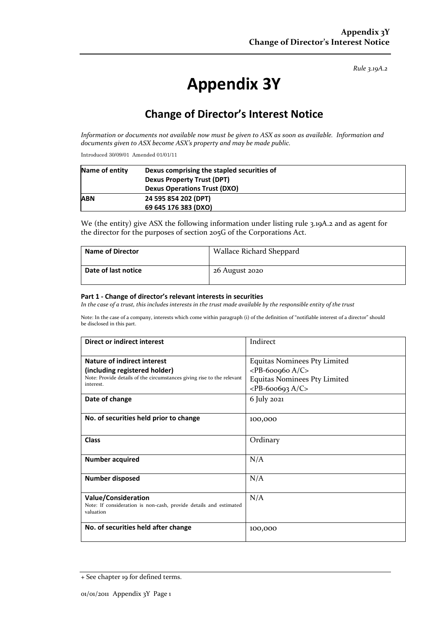*Rule 3.19A.2*

# **Appendix 3Y**

## **Change of Director's Interest Notice**

*Information or documents not available now must be given to ASX as soon as available. Information and documents given to ASX become ASX's property and may be made public.*

Introduced 30/09/01 Amended 01/01/11

| Name of entity | Dexus comprising the stapled securities of |  |
|----------------|--------------------------------------------|--|
|                | <b>Dexus Property Trust (DPT)</b>          |  |
|                | <b>Dexus Operations Trust (DXO)</b>        |  |
| <b>ABN</b>     | 24 595 854 202 (DPT)                       |  |
|                | 69 645 176 383 (DXO)                       |  |

We (the entity) give ASX the following information under listing rule 3.19A.2 and as agent for the director for the purposes of section 205G of the Corporations Act.

| <b>Name of Director</b> | <b>Wallace Richard Sheppard</b> |
|-------------------------|---------------------------------|
| Date of last notice     | 26 August 2020                  |

#### **Part 1 - Change of director's relevant interests in securities**

*In the case of a trust, this includes interests in the trust made available by the responsible entity of the trust*

Note: In the case of a company, interests which come within paragraph (i) of the definition of "notifiable interest of a director" should be disclosed in this part.

| Direct or indirect interest                                                                     | Indirect                            |  |
|-------------------------------------------------------------------------------------------------|-------------------------------------|--|
| Nature of indirect interest                                                                     | <b>Equitas Nominees Pty Limited</b> |  |
| (including registered holder)                                                                   | $<$ PB-600960 A/C>                  |  |
| Note: Provide details of the circumstances giving rise to the relevant                          | <b>Equitas Nominees Pty Limited</b> |  |
| interest.                                                                                       | $<$ PB-600693 A/C>                  |  |
| Date of change                                                                                  | 6 July 2021                         |  |
|                                                                                                 |                                     |  |
| No. of securities held prior to change                                                          | 100,000                             |  |
|                                                                                                 |                                     |  |
| <b>Class</b>                                                                                    | Ordinary                            |  |
|                                                                                                 |                                     |  |
| <b>Number acquired</b>                                                                          | N/A                                 |  |
|                                                                                                 |                                     |  |
| <b>Number disposed</b>                                                                          | N/A                                 |  |
|                                                                                                 |                                     |  |
| <b>Value/Consideration</b><br>Note: If consideration is non-cash, provide details and estimated | N/A                                 |  |
| valuation                                                                                       |                                     |  |
|                                                                                                 |                                     |  |
| No. of securities held after change                                                             | 100,000                             |  |
|                                                                                                 |                                     |  |

<sup>+</sup> See chapter 19 for defined terms.